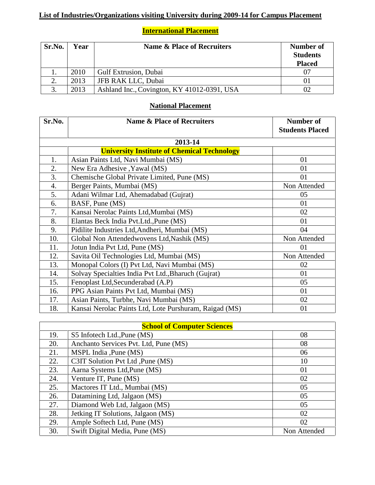## **List of Industries/Organizations visiting University during 2009-14 for Campus Placement**

## **International Placement**

| Sr.No. | Year | <b>Name &amp; Place of Recruiters</b>       | Number of<br><b>Students</b><br><b>Placed</b> |
|--------|------|---------------------------------------------|-----------------------------------------------|
|        | 2010 | <b>Gulf Extrusion, Dubai</b>                |                                               |
|        | 2013 | JFB RAK LLC, Dubai                          |                                               |
|        | 2013 | Ashland Inc., Covington, KY 41012-0391, USA |                                               |

## **National Placement**

| Sr.No.  | <b>Name &amp; Place of Recruiters</b>                  | Number of<br><b>Students Placed</b> |  |
|---------|--------------------------------------------------------|-------------------------------------|--|
|         |                                                        |                                     |  |
| 2013-14 |                                                        |                                     |  |
|         | <b>University Institute of Chemical Technology</b>     |                                     |  |
| 1.      | Asian Paints Ltd, Navi Mumbai (MS)                     | 01                                  |  |
| 2.      | New Era Adhesive , Yawal (MS)                          | 01                                  |  |
| 3.      | Chemische Global Private Limited, Pune (MS)            | 01                                  |  |
| 4.      | Berger Paints, Mumbai (MS)                             | Non Attended                        |  |
| 5.      | Adani Wilmar Ltd, Ahemadabad (Gujrat)                  | 05                                  |  |
| 6.      | BASF, Pune (MS)                                        | 01                                  |  |
| 7.      | Kansai Nerolac Paints Ltd, Mumbai (MS)                 | 02                                  |  |
| 8.      | Elantas Beck India Pvt. Ltd., Pune (MS)                | 01                                  |  |
| 9.      | Pidilite Industries Ltd, Andheri, Mumbai (MS)          | 04                                  |  |
| 10.     | Global Non Attendedwovens Ltd, Nashik (MS)             | Non Attended                        |  |
| 11.     | Jotun India Pvt Ltd, Pune (MS)                         | 01                                  |  |
| 12.     | Savita Oil Technologies Ltd, Mumbai (MS)               | Non Attended                        |  |
| 13.     | Monopal Colors (I) Pvt Ltd, Navi Mumbai (MS)           | 02                                  |  |
| 14.     | Solvay Specialties India Pvt Ltd., Bharuch (Gujrat)    | 01                                  |  |
| 15.     | Fenoplast Ltd, Secunderabad (A.P)                      | 05                                  |  |
| 16.     | PPG Asian Paints Pvt Ltd, Mumbai (MS)                  | 01                                  |  |
| 17.     | Asian Paints, Turbhe, Navi Mumbai (MS)                 | 02                                  |  |
| 18.     | Kansai Nerolac Paints Ltd, Lote Purshuram, Raigad (MS) | 01                                  |  |

| <b>School of Computer Sciences</b> |                                       |              |
|------------------------------------|---------------------------------------|--------------|
| 19.                                | S5 Infotech Ltd., Pune (MS)           | 08           |
| 20.                                | Anchanto Services Pvt. Ltd, Pune (MS) | 08           |
| 21.                                | MSPL India , Pune (MS)                | 06           |
| 22.                                | C3IT Solution Pvt Ltd, Pune (MS)      | 10           |
| 23.                                | Aarna Systems Ltd, Pune (MS)          | 01           |
| 24.                                | Venture IT, Pune (MS)                 | 02           |
| 25.                                | Mactores IT Ltd., Mumbai (MS)         | 05           |
| 26.                                | Datamining Ltd, Jalgaon (MS)          | 05           |
| 27.                                | Diamond Web Ltd, Jalgaon (MS)         | 05           |
| 28.                                | Jetking IT Solutions, Jalgaon (MS)    | 02           |
| 29.                                | Ample Softech Ltd, Pune (MS)          | 02           |
| 30.                                | Swift Digital Media, Pune (MS)        | Non Attended |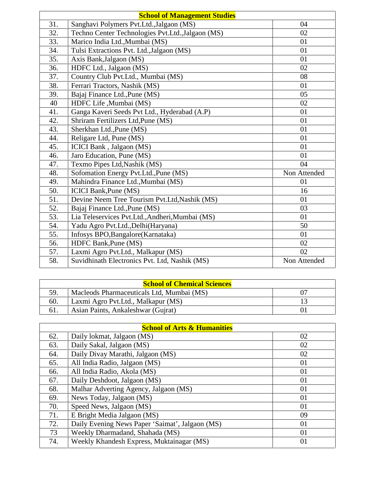| <b>School of Management Studies</b> |                                                   |              |
|-------------------------------------|---------------------------------------------------|--------------|
| 31.                                 | Sanghavi Polymers Pvt.Ltd., Jalgaon (MS)          | 04           |
| 32.                                 | Techno Center Technologies Pvt.Ltd., Jalgaon (MS) | 02           |
| 33.                                 | Marico India Ltd., Mumbai (MS)                    | 01           |
| 34.                                 | Tulsi Extractions Pvt. Ltd., Jalgaon (MS)         | 01           |
| 35.                                 | Axis Bank, Jalgaon (MS)                           | 01           |
| 36.                                 | HDFC Ltd., Jalgaon (MS)                           | 02           |
| 37.                                 | Country Club Pvt.Ltd., Mumbai (MS)                | 08           |
| 38.                                 | Ferrari Tractors, Nashik (MS)                     | 01           |
| 39.                                 | Bajaj Finance Ltd., Pune (MS)                     | 05           |
| 40                                  | HDFC Life , Mumbai (MS)                           | 02           |
| 41.                                 | Ganga Kaveri Seeds Pvt Ltd., Hyderabad (A.P)      | 01           |
| 42.                                 | Shriram Fertilizers Ltd, Pune (MS)                | 01           |
| 43.                                 | Sherkhan Ltd., Pune (MS)                          | 01           |
| 44.                                 | Religare Ltd, Pune (MS)                           | 01           |
| 45.                                 | ICICI Bank, Jalgaon (MS)                          | 01           |
| 46.                                 | Jaro Education, Pune (MS)                         | 01           |
| 47.                                 | Texmo Pipes Ltd, Nashik (MS)                      | 04           |
| 48.                                 | Sofomation Energy Pvt.Ltd., Pune (MS)             | Non Attended |
| 49.                                 | Mahindra Finance Ltd., Mumbai (MS)                | 01           |
| 50.                                 | <b>ICICI Bank, Pune (MS)</b>                      | 16           |
| 51.                                 | Devine Neem Tree Tourism Pvt.Ltd, Nashik (MS)     | 01           |
| 52.                                 | Bajaj Finance Ltd., Pune (MS)                     | 03           |
| 53.                                 | Lia Teleservices Pvt.Ltd., Andheri, Mumbai (MS)   | 01           |
| 54.                                 | Yadu Agro Pvt.Ltd., Delhi (Haryana)               | 50           |
| 55.                                 | Infosys BPO, Bangalore (Karnataka)                | 01           |
| 56.                                 | HDFC Bank, Pune (MS)                              | 02           |
| 57.                                 | Laxmi Agro Pvt.Ltd., Malkapur (MS)                | 02           |
| 58.                                 | Suvidhinath Electronics Pvt. Ltd, Nashik (MS)     | Non Attended |

| <b>School of Chemical Sciences</b> |                                           |  |
|------------------------------------|-------------------------------------------|--|
| 59.                                | Macleods Pharmaceuticals Ltd, Mumbai (MS) |  |
| 60.                                | Laxmi Agro Pvt. Ltd., Malkapur (MS)       |  |
| 61.                                | Asian Paints, Ankaleshwar (Gujrat)        |  |

| <b>School of Arts &amp; Humanities</b> |                                                 |    |
|----------------------------------------|-------------------------------------------------|----|
| 62.                                    | Daily lokmat, Jalgaon (MS)                      | 02 |
| 63.                                    | Daily Sakal, Jalgaon (MS)                       | 02 |
| 64.                                    | Daily Divay Marathi, Jalgaon (MS)               | 02 |
| 65.                                    | All India Radio, Jalgaon (MS)                   | 01 |
| 66.                                    | All India Radio, Akola (MS)                     | 01 |
| 67.                                    | Daily Deshdoot, Jalgaon (MS)                    | 01 |
| 68.                                    | Malhar Adverting Agency, Jalgaon (MS)           | 01 |
| 69.                                    | News Today, Jalgaon (MS)                        | 01 |
| 70.                                    | Speed News, Jalgaon (MS)                        | 01 |
| 71.                                    | E Bright Media Jalgaon (MS)                     | 09 |
| 72.                                    | Daily Evening News Paper 'Saimat', Jalgaon (MS) | 01 |
| 73                                     | Weekly Dharmadand, Shahada (MS)                 | 01 |
| 74.                                    | Weekly Khandesh Express, Muktainagar (MS)       | 01 |